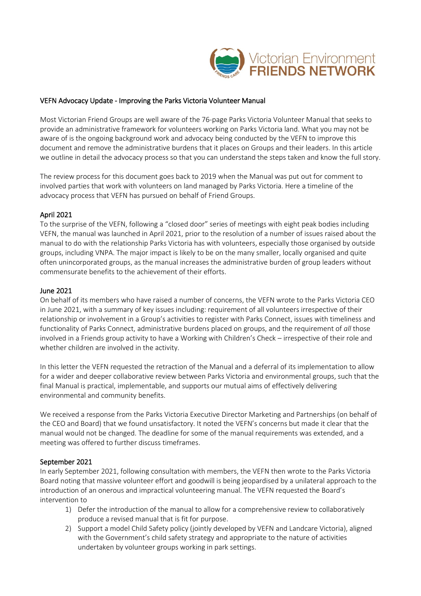

# VEFN Advocacy Update - Improving the Parks Victoria Volunteer Manual

Most Victorian Friend Groups are well aware of the 76-page Parks Victoria Volunteer Manual that seeks to provide an administrative framework for volunteers working on Parks Victoria land. What you may not be aware of is the ongoing background work and advocacy being conducted by the VEFN to improve this document and remove the administrative burdens that it places on Groups and their leaders. In this article we outline in detail the advocacy process so that you can understand the steps taken and know the full story.

The review process for this document goes back to 2019 when the Manual was put out for comment to involved parties that work with volunteers on land managed by Parks Victoria. Here a timeline of the advocacy process that VEFN has pursued on behalf of Friend Groups.

# April 2021

To the surprise of the VEFN, following a "closed door" series of meetings with eight peak bodies including VEFN, the manual was launched in April 2021, prior to the resolution of a number of issues raised about the manual to do with the relationship Parks Victoria has with volunteers, especially those organised by outside groups, including VNPA. The major impact is likely to be on the many smaller, locally organised and quite often unincorporated groups, as the manual increases the administrative burden of group leaders without commensurate benefits to the achievement of their efforts.

# June 2021

On behalf of its members who have raised a number of concerns, the VEFN wrote to the Parks Victoria CEO in June 2021, with a summary of key issues including: requirement of all volunteers irrespective of their relationship or involvement in a Group's activities to register with Parks Connect, issues with timeliness and functionality of Parks Connect, administrative burdens placed on groups, and the requirement of *all* those involved in a Friends group activity to have a Working with Children's Check – irrespective of their role and whether children are involved in the activity.

In this letter the VEFN requested the retraction of the Manual and a deferral of its implementation to allow for a wider and deeper collaborative review between Parks Victoria and environmental groups, such that the final Manual is practical, implementable, and supports our mutual aims of effectively delivering environmental and community benefits.

We received a response from the Parks Victoria Executive Director Marketing and Partnerships (on behalf of the CEO and Board) that we found unsatisfactory. It noted the VEFN's concerns but made it clear that the manual would not be changed. The deadline for some of the manual requirements was extended, and a meeting was offered to further discuss timeframes.

### September 2021

In early September 2021, following consultation with members, the VEFN then wrote to the Parks Victoria Board noting that massive volunteer effort and goodwill is being jeopardised by a unilateral approach to the introduction of an onerous and impractical volunteering manual. The VEFN requested the Board's intervention to

- 1) Defer the introduction of the manual to allow for a comprehensive review to collaboratively produce a revised manual that is fit for purpose.
- 2) Support a model Child Safety policy (jointly developed by VEFN and Landcare Victoria), aligned with the Government's child safety strategy and appropriate to the nature of activities undertaken by volunteer groups working in park settings.